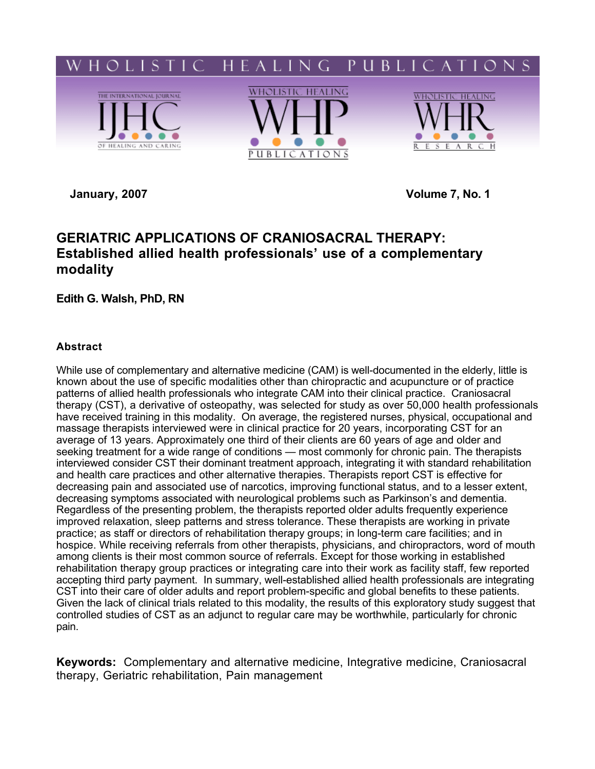

**January, 2007 Volume 7, No. 1**

# **GERIATRIC APPLICATIONS OF CRANIOSACRAL THERAPY: Established allied health professionals' use of a complementary modality**

**Edith G. Walsh, PhD, RN**

# **Abstract**

While use of complementary and alternative medicine (CAM) is well-documented in the elderly, little is known about the use of specific modalities other than chiropractic and acupuncture or of practice patterns of allied health professionals who integrate CAM into their clinical practice. Craniosacral therapy (CST), a derivative of osteopathy, was selected for study as over 50,000 health professionals have received training in this modality. On average, the registered nurses, physical, occupational and massage therapists interviewed were in clinical practice for 20 years, incorporating CST for an average of 13 years. Approximately one third of their clients are 60 years of age and older and seeking treatment for a wide range of conditions — most commonly for chronic pain. The therapists interviewed consider CST their dominant treatment approach, integrating it with standard rehabilitation and health care practices and other alternative therapies. Therapists report CST is effective for decreasing pain and associated use of narcotics, improving functional status, and to a lesser extent, decreasing symptoms associated with neurological problems such as Parkinson's and dementia. Regardless of the presenting problem, the therapists reported older adults frequently experience improved relaxation, sleep patterns and stress tolerance. These therapists are working in private practice; as staff or directors of rehabilitation therapy groups; in long-term care facilities; and in hospice. While receiving referrals from other therapists, physicians, and chiropractors, word of mouth among clients is their most common source of referrals. Except for those working in established rehabilitation therapy group practices or integrating care into their work as facility staff, few reported accepting third party payment. In summary, well-established allied health professionals are integrating CST into their care of older adults and report problem-specific and global benefits to these patients. Given the lack of clinical trials related to this modality, the results of this exploratory study suggest that controlled studies of CST as an adjunct to regular care may be worthwhile, particularly for chronic pain.

**Keywords:** Complementary and alternative medicine, Integrative medicine, Craniosacral therapy, Geriatric rehabilitation, Pain management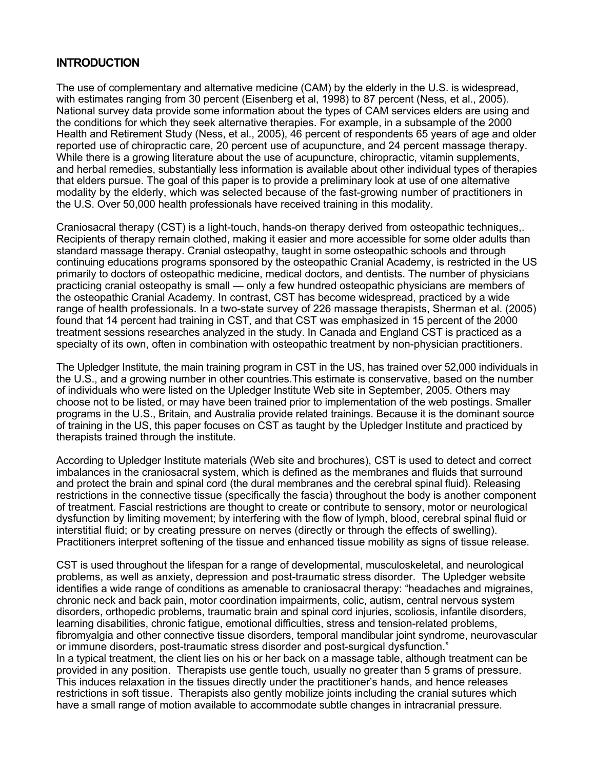# **INTRODUCTION**

The use of complementary and alternative medicine (CAM) by the elderly in the U.S. is widespread, with estimates ranging from 30 percent (Eisenberg et al, 1998) to 87 percent (Ness, et al., 2005). National survey data provide some information about the types of CAM services elders are using and the conditions for which they seek alternative therapies. For example, in a subsample of the 2000 Health and Retirement Study (Ness, et al., 2005), 46 percent of respondents 65 years of age and older reported use of chiropractic care, 20 percent use of acupuncture, and 24 percent massage therapy. While there is a growing literature about the use of acupuncture, chiropractic, vitamin supplements, and herbal remedies, substantially less information is available about other individual types of therapies that elders pursue. The goal of this paper is to provide a preliminary look at use of one alternative modality by the elderly, which was selected because of the fast-growing number of practitioners in the U.S. Over 50,000 health professionals have received training in this modality.

Craniosacral therapy (CST) is a light-touch, hands-on therapy derived from osteopathic techniques,. Recipients of therapy remain clothed, making it easier and more accessible for some older adults than standard massage therapy. Cranial osteopathy, taught in some osteopathic schools and through continuing educations programs sponsored by the osteopathic Cranial Academy, is restricted in the US primarily to doctors of osteopathic medicine, medical doctors, and dentists. The number of physicians practicing cranial osteopathy is small — only a few hundred osteopathic physicians are members of the osteopathic Cranial Academy. In contrast, CST has become widespread, practiced by a wide range of health professionals. In a two-state survey of 226 massage therapists, Sherman et al. (2005) found that 14 percent had training in CST, and that CST was emphasized in 15 percent of the 2000 treatment sessions researches analyzed in the study. In Canada and England CST is practiced as a specialty of its own, often in combination with osteopathic treatment by non-physician practitioners.

The Upledger Institute, the main training program in CST in the US, has trained over 52,000 individuals in the U.S., and a growing number in other countries.This estimate is conservative, based on the number of individuals who were listed on the Upledger Institute Web site in September, 2005. Others may choose not to be listed, or may have been trained prior to implementation of the web postings. Smaller programs in the U.S., Britain, and Australia provide related trainings. Because it is the dominant source of training in the US, this paper focuses on CST as taught by the Upledger Institute and practiced by therapists trained through the institute.

According to Upledger Institute materials (Web site and brochures), CST is used to detect and correct imbalances in the craniosacral system, which is defined as the membranes and fluids that surround and protect the brain and spinal cord (the dural membranes and the cerebral spinal fluid). Releasing restrictions in the connective tissue (specifically the fascia) throughout the body is another component of treatment. Fascial restrictions are thought to create or contribute to sensory, motor or neurological dysfunction by limiting movement; by interfering with the flow of lymph, blood, cerebral spinal fluid or interstitial fluid; or by creating pressure on nerves (directly or through the effects of swelling). Practitioners interpret softening of the tissue and enhanced tissue mobility as signs of tissue release.

CST is used throughout the lifespan for a range of developmental, musculoskeletal, and neurological problems, as well as anxiety, depression and post-traumatic stress disorder. The Upledger website identifies a wide range of conditions as amenable to craniosacral therapy: "headaches and migraines, chronic neck and back pain, motor coordination impairments, colic, autism, central nervous system disorders, orthopedic problems, traumatic brain and spinal cord injuries, scoliosis, infantile disorders, learning disabilities, chronic fatigue, emotional difficulties, stress and tension-related problems, fibromyalgia and other connective tissue disorders, temporal mandibular joint syndrome, neurovascular or immune disorders, post-traumatic stress disorder and post-surgical dysfunction." In a typical treatment, the client lies on his or her back on a massage table, although treatment can be provided in any position. Therapists use gentle touch, usually no greater than 5 grams of pressure. This induces relaxation in the tissues directly under the practitioner's hands, and hence releases restrictions in soft tissue. Therapists also gently mobilize joints including the cranial sutures which have a small range of motion available to accommodate subtle changes in intracranial pressure.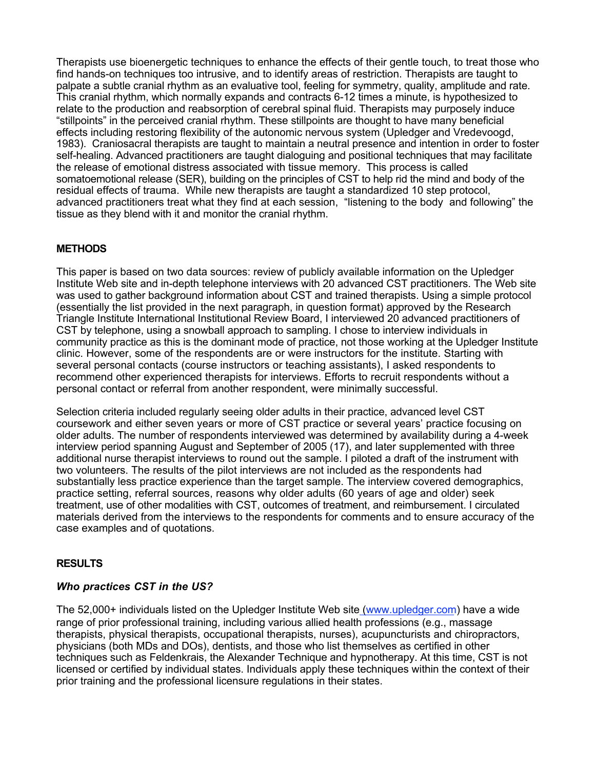Therapists use bioenergetic techniques to enhance the effects of their gentle touch, to treat those who find hands-on techniques too intrusive, and to identify areas of restriction. Therapists are taught to palpate a subtle cranial rhythm as an evaluative tool, feeling for symmetry, quality, amplitude and rate. This cranial rhythm, which normally expands and contracts 6-12 times a minute, is hypothesized to relate to the production and reabsorption of cerebral spinal fluid. Therapists may purposely induce "stillpoints" in the perceived cranial rhythm. These stillpoints are thought to have many beneficial effects including restoring flexibility of the autonomic nervous system (Upledger and Vredevoogd, 1983). Craniosacral therapists are taught to maintain a neutral presence and intention in order to foster self-healing. Advanced practitioners are taught dialoguing and positional techniques that may facilitate the release of emotional distress associated with tissue memory. This process is called somatoemotional release (SER), building on the principles of CST to help rid the mind and body of the residual effects of trauma. While new therapists are taught a standardized 10 step protocol, advanced practitioners treat what they find at each session, "listening to the body and following" the tissue as they blend with it and monitor the cranial rhythm.

# **METHODS**

This paper is based on two data sources: review of publicly available information on the Upledger Institute Web site and in-depth telephone interviews with 20 advanced CST practitioners. The Web site was used to gather background information about CST and trained therapists. Using a simple protocol (essentially the list provided in the next paragraph, in question format) approved by the Research Triangle Institute International Institutional Review Board, I interviewed 20 advanced practitioners of CST by telephone, using a snowball approach to sampling. I chose to interview individuals in community practice as this is the dominant mode of practice, not those working at the Upledger Institute clinic. However, some of the respondents are or were instructors for the institute. Starting with several personal contacts (course instructors or teaching assistants), I asked respondents to recommend other experienced therapists for interviews. Efforts to recruit respondents without a personal contact or referral from another respondent, were minimally successful.

Selection criteria included regularly seeing older adults in their practice, advanced level CST coursework and either seven years or more of CST practice or several years' practice focusing on older adults. The number of respondents interviewed was determined by availability during a 4-week interview period spanning August and September of 2005 (17), and later supplemented with three additional nurse therapist interviews to round out the sample. I piloted a draft of the instrument with two volunteers. The results of the pilot interviews are not included as the respondents had substantially less practice experience than the target sample. The interview covered demographics, practice setting, referral sources, reasons why older adults (60 years of age and older) seek treatment, use of other modalities with CST, outcomes of treatment, and reimbursement. I circulated materials derived from the interviews to the respondents for comments and to ensure accuracy of the case examples and of quotations.

# **RESULTS**

# *Who practices CST in the US?*

The 52,000+ individuals listed on the Upledger Institute Web site (www.upledger.com) have a wide range of prior professional training, including various allied health professions (e.g., massage therapists, physical therapists, occupational therapists, nurses), acupuncturists and chiropractors, physicians (both MDs and DOs), dentists, and those who list themselves as certified in other techniques such as Feldenkrais, the Alexander Technique and hypnotherapy. At this time, CST is not licensed or certified by individual states. Individuals apply these techniques within the context of their prior training and the professional licensure regulations in their states.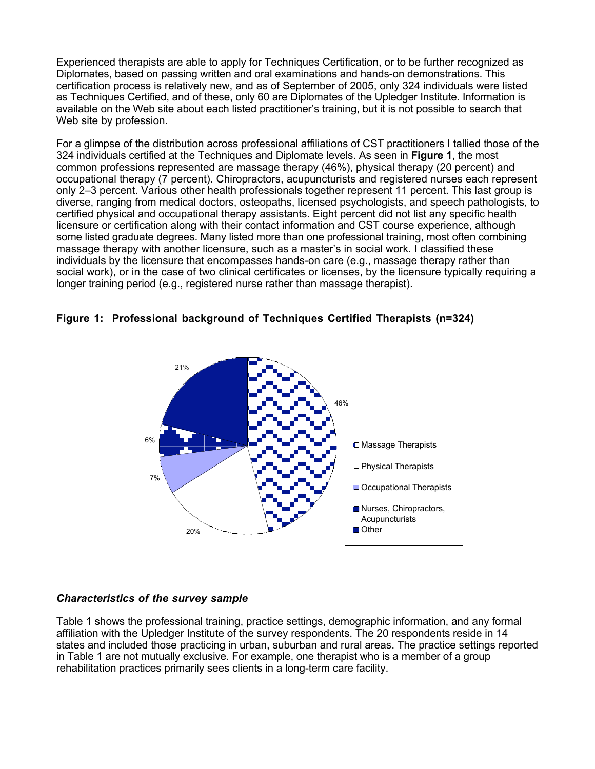Experienced therapists are able to apply for Techniques Certification, or to be further recognized as Diplomates, based on passing written and oral examinations and hands-on demonstrations. This certification process is relatively new, and as of September of 2005, only 324 individuals were listed as Techniques Certified, and of these, only 60 are Diplomates of the Upledger Institute. Information is available on the Web site about each listed practitioner's training, but it is not possible to search that Web site by profession.

For a glimpse of the distribution across professional affiliations of CST practitioners I tallied those of the 324 individuals certified at the Techniques and Diplomate levels. As seen in **Figure 1**, the most common professions represented are massage therapy (46%), physical therapy (20 percent) and occupational therapy (7 percent). Chiropractors, acupuncturists and registered nurses each represent only 2–3 percent. Various other health professionals together represent 11 percent. This last group is diverse, ranging from medical doctors, osteopaths, licensed psychologists, and speech pathologists, to certified physical and occupational therapy assistants. Eight percent did not list any specific health licensure or certification along with their contact information and CST course experience, although some listed graduate degrees. Many listed more than one professional training, most often combining massage therapy with another licensure, such as a master's in social work. I classified these individuals by the licensure that encompasses hands-on care (e.g., massage therapy rather than social work), or in the case of two clinical certificates or licenses, by the licensure typically requiring a longer training period (e.g., registered nurse rather than massage therapist).





# *Characteristics of the survey sample*

Table 1 shows the professional training, practice settings, demographic information, and any formal affiliation with the Upledger Institute of the survey respondents. The 20 respondents reside in 14 states and included those practicing in urban, suburban and rural areas. The practice settings reported in Table 1 are not mutually exclusive. For example, one therapist who is a member of a group rehabilitation practices primarily sees clients in a long-term care facility.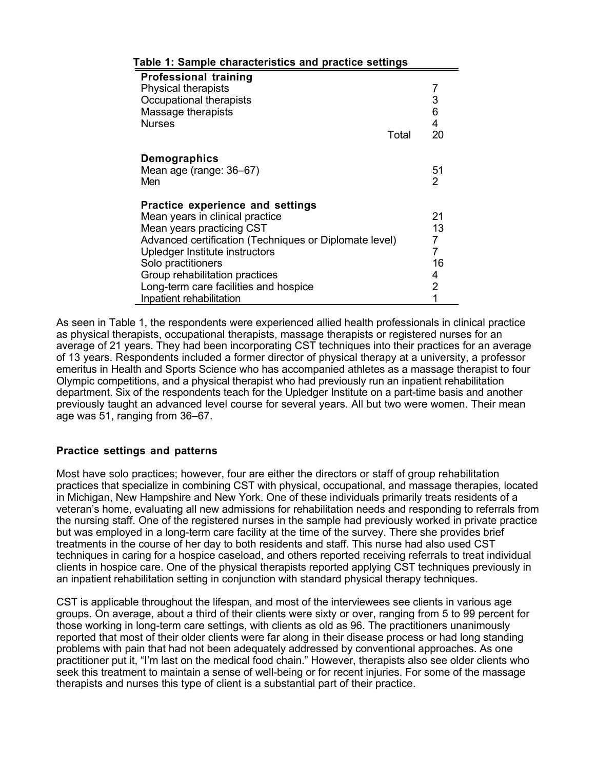| able 1: Sample characteristics and practice settings                                                                                                                                                                                                                                                                      |                                         |
|---------------------------------------------------------------------------------------------------------------------------------------------------------------------------------------------------------------------------------------------------------------------------------------------------------------------------|-----------------------------------------|
| <b>Professional training</b><br><b>Physical therapists</b><br>Occupational therapists<br>Massage therapists<br><b>Nurses</b><br>Total                                                                                                                                                                                     | 7<br>3<br>6<br>4<br>20                  |
| Demographics<br>Mean age (range: 36–67)<br>Men                                                                                                                                                                                                                                                                            | 51<br>2                                 |
| Practice experience and settings<br>Mean years in clinical practice<br>Mean years practicing CST<br>Advanced certification (Techniques or Diplomate level)<br>Upledger Institute instructors<br>Solo practitioners<br>Group rehabilitation practices<br>Long-term care facilities and hospice<br>Inpatient rehabilitation | 21<br>13<br>7<br>7<br>16<br>4<br>2<br>1 |

## **Table 1: Sample characteristics and practice settings**

As seen in Table 1, the respondents were experienced allied health professionals in clinical practice as physical therapists, occupational therapists, massage therapists or registered nurses for an average of 21 years. They had been incorporating CST techniques into their practices for an average of 13 years. Respondents included a former director of physical therapy at a university, a professor emeritus in Health and Sports Science who has accompanied athletes as a massage therapist to four Olympic competitions, and a physical therapist who had previously run an inpatient rehabilitation department. Six of the respondents teach for the Upledger Institute on a part-time basis and another previously taught an advanced level course for several years. All but two were women. Their mean age was 51, ranging from 36–67.

# **Practice settings and patterns**

Most have solo practices; however, four are either the directors or staff of group rehabilitation practices that specialize in combining CST with physical, occupational, and massage therapies, located in Michigan, New Hampshire and New York. One of these individuals primarily treats residents of a veteran's home, evaluating all new admissions for rehabilitation needs and responding to referrals from the nursing staff. One of the registered nurses in the sample had previously worked in private practice but was employed in a long-term care facility at the time of the survey. There she provides brief treatments in the course of her day to both residents and staff. This nurse had also used CST techniques in caring for a hospice caseload, and others reported receiving referrals to treat individual clients in hospice care. One of the physical therapists reported applying CST techniques previously in an inpatient rehabilitation setting in conjunction with standard physical therapy techniques.

CST is applicable throughout the lifespan, and most of the interviewees see clients in various age groups. On average, about a third of their clients were sixty or over, ranging from 5 to 99 percent for those working in long-term care settings, with clients as old as 96. The practitioners unanimously reported that most of their older clients were far along in their disease process or had long standing problems with pain that had not been adequately addressed by conventional approaches. As one practitioner put it, "I'm last on the medical food chain." However, therapists also see older clients who seek this treatment to maintain a sense of well-being or for recent injuries. For some of the massage therapists and nurses this type of client is a substantial part of their practice.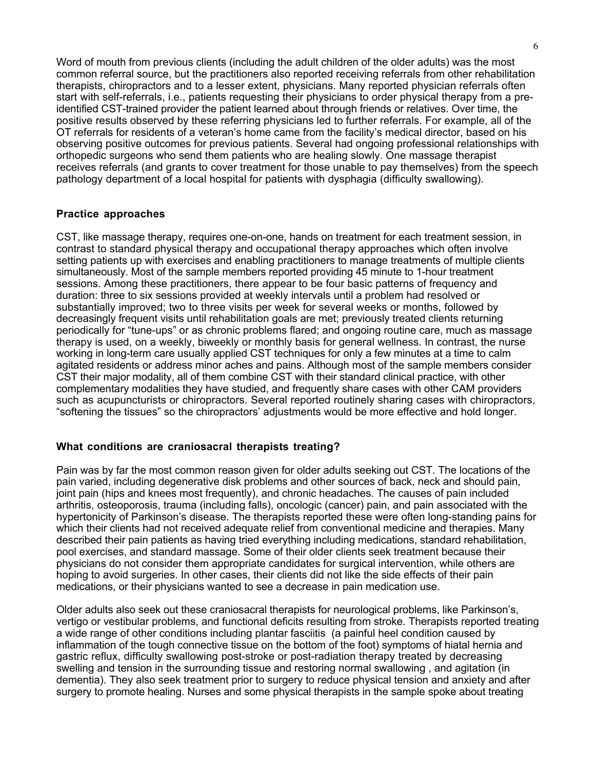Word of mouth from previous clients (including the adult children of the older adults) was the most common referral source, but the practitioners also reported receiving referrals from other rehabilitation therapists, chiropractors and to a lesser extent, physicians. Many reported physician referrals often start with self-referrals, i.e., patients requesting their physicians to order physical therapy from a preidentified CST-trained provider the patient learned about through friends or relatives. Over time, the positive results observed by these referring physicians led to further referrals. For example, all of the OT referrals for residents of a veteran's home came from the facility's medical director, based on his observing positive outcomes for previous patients. Several had ongoing professional relationships with orthopedic surgeons who send them patients who are healing slowly. One massage therapist receives referrals (and grants to cover treatment for those unable to pay themselves) from the speech pathology department of a local hospital for patients with dysphagia (difficulty swallowing).

### **Practice approaches**

CST, like massage therapy, requires one-on-one, hands on treatment for each treatment session, in contrast to standard physical therapy and occupational therapy approaches which often involve setting patients up with exercises and enabling practitioners to manage treatments of multiple clients simultaneously. Most of the sample members reported providing 45 minute to 1-hour treatment sessions. Among these practitioners, there appear to be four basic patterns of frequency and duration: three to six sessions provided at weekly intervals until a problem had resolved or substantially improved; two to three visits per week for several weeks or months, followed by decreasingly frequent visits until rehabilitation goals are met; previously treated clients returning periodically for "tune-ups" or as chronic problems flared; and ongoing routine care, much as massage therapy is used, on a weekly, biweekly or monthly basis for general wellness. In contrast, the nurse working in long-term care usually applied CST techniques for only a few minutes at a time to calm agitated residents or address minor aches and pains. Although most of the sample members consider CST their major modality, all of them combine CST with their standard clinical practice, with other complementary modalities they have studied, and frequently share cases with other CAM providers such as acupuncturists or chiropractors. Several reported routinely sharing cases with chiropractors, "softening the tissues" so the chiropractors' adjustments would be more effective and hold longer.

#### **What conditions are craniosacral therapists treating?**

Pain was by far the most common reason given for older adults seeking out CST. The locations of the pain varied, including degenerative disk problems and other sources of back, neck and should pain, joint pain (hips and knees most frequently), and chronic headaches. The causes of pain included arthritis, osteoporosis, trauma (including falls), oncologic (cancer) pain, and pain associated with the hypertonicity of Parkinson's disease. The therapists reported these were often long-standing pains for which their clients had not received adequate relief from conventional medicine and therapies. Many described their pain patients as having tried everything including medications, standard rehabilitation, pool exercises, and standard massage. Some of their older clients seek treatment because their physicians do not consider them appropriate candidates for surgical intervention, while others are hoping to avoid surgeries. In other cases, their clients did not like the side effects of their pain medications, or their physicians wanted to see a decrease in pain medication use.

Older adults also seek out these craniosacral therapists for neurological problems, like Parkinson's, vertigo or vestibular problems, and functional deficits resulting from stroke. Therapists reported treating a wide range of other conditions including plantar fasciitis (a painful heel condition caused by inflammation of the tough connective tissue on the bottom of the foot) symptoms of hiatal hernia and gastric reflux, difficulty swallowing post-stroke or post-radiation therapy treated by decreasing swelling and tension in the surrounding tissue and restoring normal swallowing , and agitation (in dementia). They also seek treatment prior to surgery to reduce physical tension and anxiety and after surgery to promote healing. Nurses and some physical therapists in the sample spoke about treating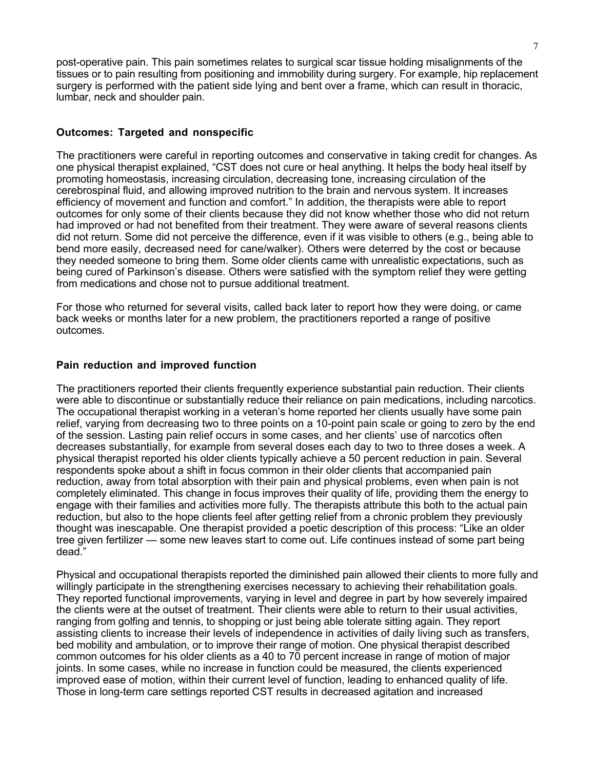post-operative pain. This pain sometimes relates to surgical scar tissue holding misalignments of the tissues or to pain resulting from positioning and immobility during surgery. For example, hip replacement surgery is performed with the patient side lying and bent over a frame, which can result in thoracic, lumbar, neck and shoulder pain.

#### **Outcomes: Targeted and nonspecific**

The practitioners were careful in reporting outcomes and conservative in taking credit for changes. As one physical therapist explained, "CST does not cure or heal anything. It helps the body heal itself by promoting homeostasis, increasing circulation, decreasing tone, increasing circulation of the cerebrospinal fluid, and allowing improved nutrition to the brain and nervous system. It increases efficiency of movement and function and comfort." In addition, the therapists were able to report outcomes for only some of their clients because they did not know whether those who did not return had improved or had not benefited from their treatment. They were aware of several reasons clients did not return. Some did not perceive the difference, even if it was visible to others (e.g., being able to bend more easily, decreased need for cane/walker). Others were deterred by the cost or because they needed someone to bring them. Some older clients came with unrealistic expectations, such as being cured of Parkinson's disease. Others were satisfied with the symptom relief they were getting from medications and chose not to pursue additional treatment.

For those who returned for several visits, called back later to report how they were doing, or came back weeks or months later for a new problem, the practitioners reported a range of positive outcomes.

#### **Pain reduction and improved function**

The practitioners reported their clients frequently experience substantial pain reduction. Their clients were able to discontinue or substantially reduce their reliance on pain medications, including narcotics. The occupational therapist working in a veteran's home reported her clients usually have some pain relief, varying from decreasing two to three points on a 10-point pain scale or going to zero by the end of the session. Lasting pain relief occurs in some cases, and her clients' use of narcotics often decreases substantially, for example from several doses each day to two to three doses a week. A physical therapist reported his older clients typically achieve a 50 percent reduction in pain. Several respondents spoke about a shift in focus common in their older clients that accompanied pain reduction, away from total absorption with their pain and physical problems, even when pain is not completely eliminated. This change in focus improves their quality of life, providing them the energy to engage with their families and activities more fully. The therapists attribute this both to the actual pain reduction, but also to the hope clients feel after getting relief from a chronic problem they previously thought was inescapable. One therapist provided a poetic description of this process: "Like an older tree given fertilizer — some new leaves start to come out. Life continues instead of some part being dead."

Physical and occupational therapists reported the diminished pain allowed their clients to more fully and willingly participate in the strengthening exercises necessary to achieving their rehabilitation goals. They reported functional improvements, varying in level and degree in part by how severely impaired the clients were at the outset of treatment. Their clients were able to return to their usual activities, ranging from golfing and tennis, to shopping or just being able tolerate sitting again. They report assisting clients to increase their levels of independence in activities of daily living such as transfers, bed mobility and ambulation, or to improve their range of motion. One physical therapist described common outcomes for his older clients as a 40 to 70 percent increase in range of motion of major joints. In some cases, while no increase in function could be measured, the clients experienced improved ease of motion, within their current level of function, leading to enhanced quality of life. Those in long-term care settings reported CST results in decreased agitation and increased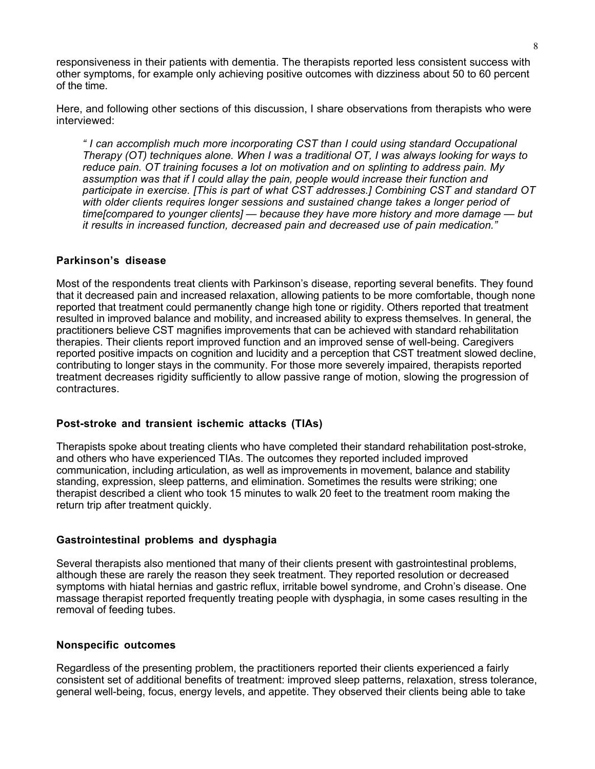responsiveness in their patients with dementia. The therapists reported less consistent success with other symptoms, for example only achieving positive outcomes with dizziness about 50 to 60 percent of the time.

Here, and following other sections of this discussion, I share observations from therapists who were interviewed:

*" I can accomplish much more incorporating CST than I could using standard Occupational Therapy (OT) techniques alone. When I was a traditional OT, I was always looking for ways to reduce pain. OT training focuses a lot on motivation and on splinting to address pain. My assumption was that if I could allay the pain, people would increase their function and participate in exercise. [This is part of what CST addresses.] Combining CST and standard OT with older clients requires longer sessions and sustained change takes a longer period of time[compared to younger clients] — because they have more history and more damage — but it results in increased function, decreased pain and decreased use of pain medication."*

#### **Parkinson's disease**

Most of the respondents treat clients with Parkinson's disease, reporting several benefits. They found that it decreased pain and increased relaxation, allowing patients to be more comfortable, though none reported that treatment could permanently change high tone or rigidity. Others reported that treatment resulted in improved balance and mobility, and increased ability to express themselves. In general, the practitioners believe CST magnifies improvements that can be achieved with standard rehabilitation therapies. Their clients report improved function and an improved sense of well-being. Caregivers reported positive impacts on cognition and lucidity and a perception that CST treatment slowed decline, contributing to longer stays in the community. For those more severely impaired, therapists reported treatment decreases rigidity sufficiently to allow passive range of motion, slowing the progression of contractures.

#### **Post-stroke and transient ischemic attacks (TIAs)**

Therapists spoke about treating clients who have completed their standard rehabilitation post-stroke, and others who have experienced TIAs. The outcomes they reported included improved communication, including articulation, as well as improvements in movement, balance and stability standing, expression, sleep patterns, and elimination. Sometimes the results were striking; one therapist described a client who took 15 minutes to walk 20 feet to the treatment room making the return trip after treatment quickly.

#### **Gastrointestinal problems and dysphagia**

Several therapists also mentioned that many of their clients present with gastrointestinal problems, although these are rarely the reason they seek treatment. They reported resolution or decreased symptoms with hiatal hernias and gastric reflux, irritable bowel syndrome, and Crohn's disease. One massage therapist reported frequently treating people with dysphagia, in some cases resulting in the removal of feeding tubes.

#### **Nonspecific outcomes**

Regardless of the presenting problem, the practitioners reported their clients experienced a fairly consistent set of additional benefits of treatment: improved sleep patterns, relaxation, stress tolerance, general well-being, focus, energy levels, and appetite. They observed their clients being able to take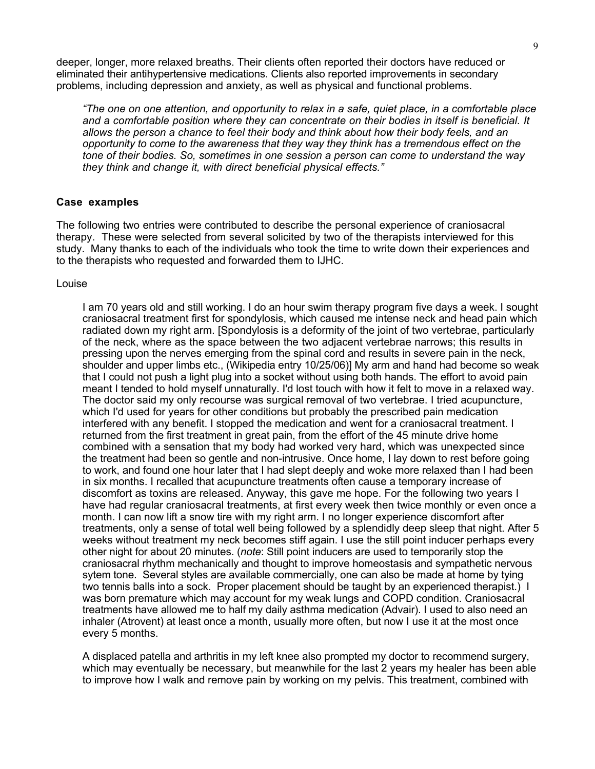deeper, longer, more relaxed breaths. Their clients often reported their doctors have reduced or eliminated their antihypertensive medications. Clients also reported improvements in secondary problems, including depression and anxiety, as well as physical and functional problems.

*"The one on one attention, and opportunity to relax in a safe, quiet place, in a comfortable place and a comfortable position where they can concentrate on their bodies in itself is beneficial. It allows the person a chance to feel their body and think about how their body feels, and an opportunity to come to the awareness that they way they think has a tremendous effect on the tone of their bodies. So, sometimes in one session a person can come to understand the way they think and change it, with direct beneficial physical effects."*

#### **Case examples**

The following two entries were contributed to describe the personal experience of craniosacral therapy. These were selected from several solicited by two of the therapists interviewed for this study. Many thanks to each of the individuals who took the time to write down their experiences and to the therapists who requested and forwarded them to IJHC.

#### Louise

I am 70 years old and still working. I do an hour swim therapy program five days a week. I sought craniosacral treatment first for spondylosis, which caused me intense neck and head pain which radiated down my right arm. [Spondylosis is a deformity of the joint of two vertebrae, particularly of the neck, where as the space between the two adjacent vertebrae narrows; this results in pressing upon the nerves emerging from the spinal cord and results in severe pain in the neck, shoulder and upper limbs etc., (Wikipedia entry 10/25/06)] My arm and hand had become so weak that I could not push a light plug into a socket without using both hands. The effort to avoid pain meant I tended to hold myself unnaturally. I'd lost touch with how it felt to move in a relaxed way. The doctor said my only recourse was surgical removal of two vertebrae. I tried acupuncture, which I'd used for years for other conditions but probably the prescribed pain medication interfered with any benefit. I stopped the medication and went for a craniosacral treatment. I returned from the first treatment in great pain, from the effort of the 45 minute drive home combined with a sensation that my body had worked very hard, which was unexpected since the treatment had been so gentle and non-intrusive. Once home, I lay down to rest before going to work, and found one hour later that I had slept deeply and woke more relaxed than I had been in six months. I recalled that acupuncture treatments often cause a temporary increase of discomfort as toxins are released. Anyway, this gave me hope. For the following two years I have had regular craniosacral treatments, at first every week then twice monthly or even once a month. I can now lift a snow tire with my right arm. I no longer experience discomfort after treatments, only a sense of total well being followed by a splendidly deep sleep that night. After 5 weeks without treatment my neck becomes stiff again. I use the still point inducer perhaps every other night for about 20 minutes. (*note*: Still point inducers are used to temporarily stop the craniosacral rhythm mechanically and thought to improve homeostasis and sympathetic nervous sytem tone. Several styles are available commercially, one can also be made at home by tying two tennis balls into a sock. Proper placement should be taught by an experienced therapist.) I was born premature which may account for my weak lungs and COPD condition. Craniosacral treatments have allowed me to half my daily asthma medication (Advair). I used to also need an inhaler (Atrovent) at least once a month, usually more often, but now I use it at the most once every 5 months.

A displaced patella and arthritis in my left knee also prompted my doctor to recommend surgery, which may eventually be necessary, but meanwhile for the last 2 years my healer has been able to improve how I walk and remove pain by working on my pelvis. This treatment, combined with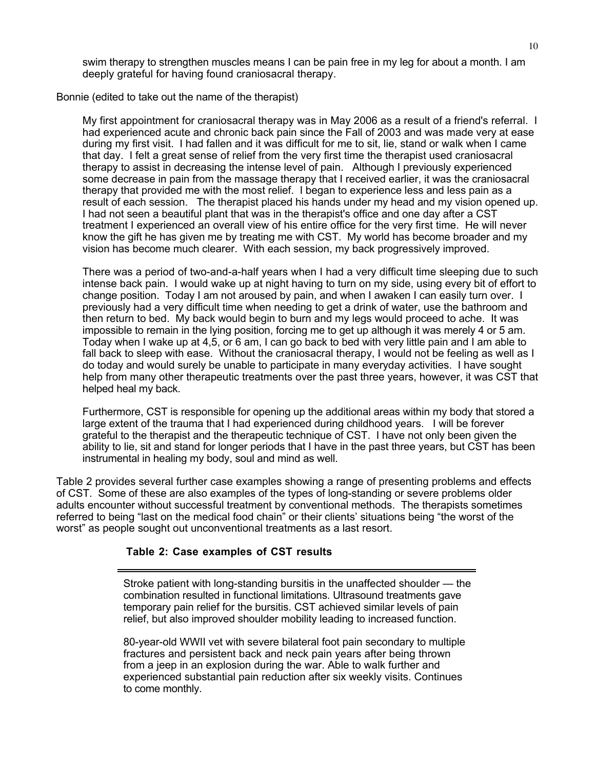swim therapy to strengthen muscles means I can be pain free in my leg for about a month. I am deeply grateful for having found craniosacral therapy.

Bonnie (edited to take out the name of the therapist)

My first appointment for craniosacral therapy was in May 2006 as a result of a friend's referral. I had experienced acute and chronic back pain since the Fall of 2003 and was made very at ease during my first visit. I had fallen and it was difficult for me to sit, lie, stand or walk when I came that day. I felt a great sense of relief from the very first time the therapist used craniosacral therapy to assist in decreasing the intense level of pain. Although I previously experienced some decrease in pain from the massage therapy that I received earlier, it was the craniosacral therapy that provided me with the most relief. I began to experience less and less pain as a result of each session. The therapist placed his hands under my head and my vision opened up. I had not seen a beautiful plant that was in the therapist's office and one day after a CST treatment I experienced an overall view of his entire office for the very first time. He will never know the gift he has given me by treating me with CST. My world has become broader and my vision has become much clearer. With each session, my back progressively improved.

There was a period of two-and-a-half years when I had a very difficult time sleeping due to such intense back pain. I would wake up at night having to turn on my side, using every bit of effort to change position. Today I am not aroused by pain, and when I awaken I can easily turn over. I previously had a very difficult time when needing to get a drink of water, use the bathroom and then return to bed. My back would begin to burn and my legs would proceed to ache. It was impossible to remain in the lying position, forcing me to get up although it was merely 4 or 5 am. Today when I wake up at 4,5, or 6 am, I can go back to bed with very little pain and I am able to fall back to sleep with ease. Without the craniosacral therapy, I would not be feeling as well as I do today and would surely be unable to participate in many everyday activities. I have sought help from many other therapeutic treatments over the past three years, however, it was CST that helped heal my back.

Furthermore, CST is responsible for opening up the additional areas within my body that stored a large extent of the trauma that I had experienced during childhood years. I will be forever grateful to the therapist and the therapeutic technique of CST. I have not only been given the ability to lie, sit and stand for longer periods that I have in the past three years, but CST has been instrumental in healing my body, soul and mind as well.

Table 2 provides several further case examples showing a range of presenting problems and effects of CST. Some of these are also examples of the types of long-standing or severe problems older adults encounter without successful treatment by conventional methods. The therapists sometimes referred to being "last on the medical food chain" or their clients' situations being "the worst of the worst" as people sought out unconventional treatments as a last resort.

# **Table 2: Case examples of CST results**

Stroke patient with long-standing bursitis in the unaffected shoulder — the combination resulted in functional limitations. Ultrasound treatments gave temporary pain relief for the bursitis. CST achieved similar levels of pain relief, but also improved shoulder mobility leading to increased function.

80-year-old WWII vet with severe bilateral foot pain secondary to multiple fractures and persistent back and neck pain years after being thrown from a jeep in an explosion during the war. Able to walk further and experienced substantial pain reduction after six weekly visits. Continues to come monthly.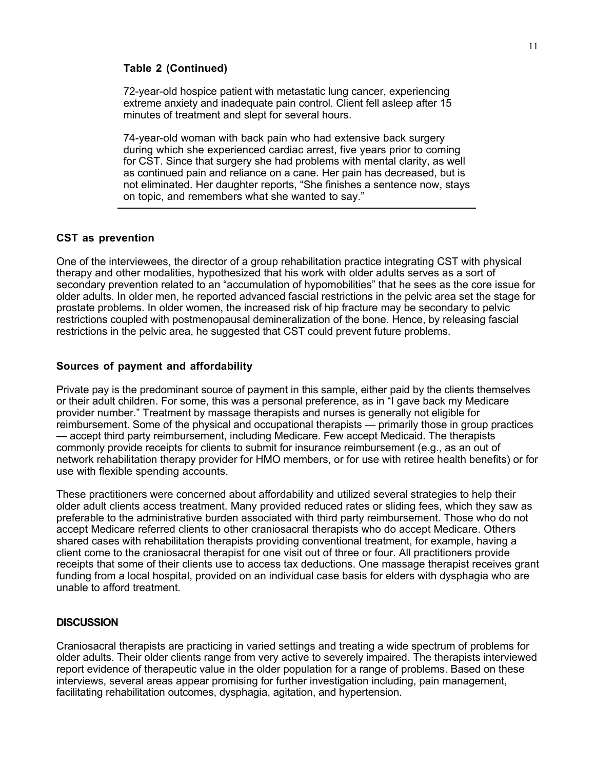#### **Table 2 (Continued)**

72-year-old hospice patient with metastatic lung cancer, experiencing extreme anxiety and inadequate pain control. Client fell asleep after 15 minutes of treatment and slept for several hours.

74-year-old woman with back pain who had extensive back surgery during which she experienced cardiac arrest, five years prior to coming for CST. Since that surgery she had problems with mental clarity, as well as continued pain and reliance on a cane. Her pain has decreased, but is not eliminated. Her daughter reports, "She finishes a sentence now, stays on topic, and remembers what she wanted to say."

### **CST as prevention**

One of the interviewees, the director of a group rehabilitation practice integrating CST with physical therapy and other modalities, hypothesized that his work with older adults serves as a sort of secondary prevention related to an "accumulation of hypomobilities" that he sees as the core issue for older adults. In older men, he reported advanced fascial restrictions in the pelvic area set the stage for prostate problems. In older women, the increased risk of hip fracture may be secondary to pelvic restrictions coupled with postmenopausal demineralization of the bone. Hence, by releasing fascial restrictions in the pelvic area, he suggested that CST could prevent future problems.

### **Sources of payment and affordability**

Private pay is the predominant source of payment in this sample, either paid by the clients themselves or their adult children. For some, this was a personal preference, as in "I gave back my Medicare provider number." Treatment by massage therapists and nurses is generally not eligible for reimbursement. Some of the physical and occupational therapists — primarily those in group practices — accept third party reimbursement, including Medicare. Few accept Medicaid. The therapists commonly provide receipts for clients to submit for insurance reimbursement (e.g., as an out of network rehabilitation therapy provider for HMO members, or for use with retiree health benefits) or for use with flexible spending accounts.

These practitioners were concerned about affordability and utilized several strategies to help their older adult clients access treatment. Many provided reduced rates or sliding fees, which they saw as preferable to the administrative burden associated with third party reimbursement. Those who do not accept Medicare referred clients to other craniosacral therapists who do accept Medicare. Others shared cases with rehabilitation therapists providing conventional treatment, for example, having a client come to the craniosacral therapist for one visit out of three or four. All practitioners provide receipts that some of their clients use to access tax deductions. One massage therapist receives grant funding from a local hospital, provided on an individual case basis for elders with dysphagia who are unable to afford treatment.

#### **DISCUSSION**

Craniosacral therapists are practicing in varied settings and treating a wide spectrum of problems for older adults. Their older clients range from very active to severely impaired. The therapists interviewed report evidence of therapeutic value in the older population for a range of problems. Based on these interviews, several areas appear promising for further investigation including, pain management, facilitating rehabilitation outcomes, dysphagia, agitation, and hypertension.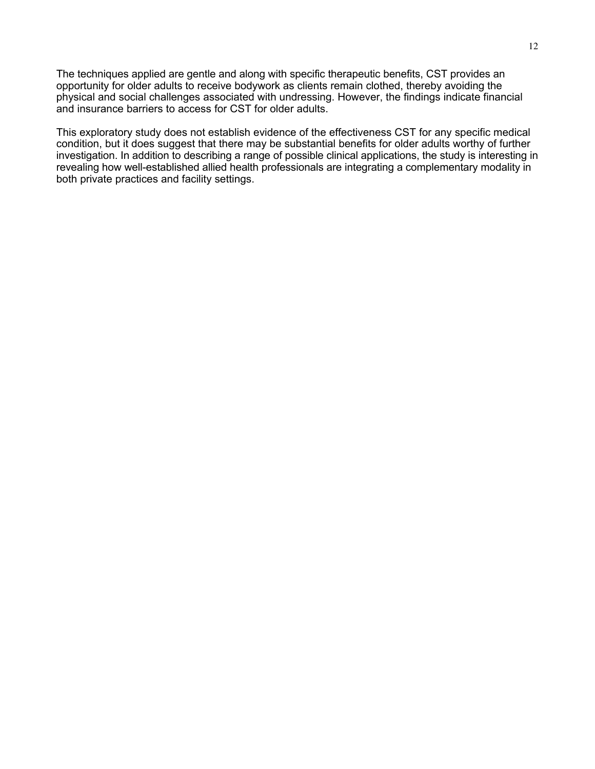The techniques applied are gentle and along with specific therapeutic benefits, CST provides an opportunity for older adults to receive bodywork as clients remain clothed, thereby avoiding the physical and social challenges associated with undressing. However, the findings indicate financial and insurance barriers to access for CST for older adults.

This exploratory study does not establish evidence of the effectiveness CST for any specific medical condition, but it does suggest that there may be substantial benefits for older adults worthy of further investigation. In addition to describing a range of possible clinical applications, the study is interesting in revealing how well-established allied health professionals are integrating a complementary modality in both private practices and facility settings.